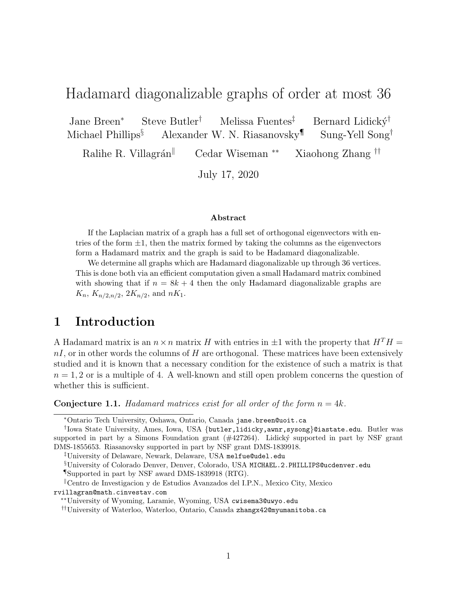# Hadamard diagonalizable graphs of order at most 36

Jane Breen<sup>∗</sup> Steve Butler<sup>†</sup> Melissa Fuentes<sup>‡</sup> Bernard Lidický<sup>†</sup> Michael Phillips<sup>§</sup> Alexander W. N. Riasanovsky<sup>¶</sup> Sung-Yell Song<sup>†</sup>

Ralihe R. Villagrán<sup>||</sup> Cedar Wiseman <sup>∗∗</sup> Xiaohong Zhang <sup>††</sup>

July 17, 2020

#### Abstract

If the Laplacian matrix of a graph has a full set of orthogonal eigenvectors with entries of the form  $\pm 1$ , then the matrix formed by taking the columns as the eigenvectors form a Hadamard matrix and the graph is said to be Hadamard diagonalizable.

We determine all graphs which are Hadamard diagonalizable up through 36 vertices. This is done both via an efficient computation given a small Hadamard matrix combined with showing that if  $n = 8k + 4$  then the only Hadamard diagonalizable graphs are  $K_n, K_{n/2,n/2}, 2K_{n/2}, \text{ and } nK_1.$ 

### 1 Introduction

A Hadamard matrix is an  $n \times n$  matrix H with entries in  $\pm 1$  with the property that  $H<sup>T</sup>H$  =  $nI$ , or in other words the columns of H are orthogonal. These matrices have been extensively studied and it is known that a necessary condition for the existence of such a matrix is that  $n = 1, 2$  or is a multiple of 4. A well-known and still open problem concerns the question of whether this is sufficient.

**Conjecture 1.1.** Hadamard matrices exist for all order of the form  $n = 4k$ .

‡University of Delaware, Newark, Delaware, USA melfue@udel.edu

§University of Colorado Denver, Denver, Colorado, USA MICHAEL.2.PHILLIPS@ucdenver.edu

¶Supported in part by NSF award DMS-1839918 (RTG).

<sup>∥</sup>Centro de Investigacion y de Estudios Avanzados del I.P.N., Mexico City, Mexico rvillagran@math.cinvestav.com

<sup>∗</sup>Ontario Tech University, Oshawa, Ontario, Canada jane.breen@uoit.ca

<sup>†</sup> Iowa State University, Ames, Iowa, USA {butler,lidicky,awnr,sysong}@iastate.edu. Butler was supported in part by a Simons Foundation grant  $(\#427264)$ . Lidický supported in part by NSF grant DMS-1855653. Riasanovsky supported in part by NSF grant DMS-1839918.

<sup>∗∗</sup>University of Wyoming, Laramie, Wyoming, USA cwisema3@uwyo.edu

<sup>††</sup>University of Waterloo, Waterloo, Ontario, Canada zhangx42@myumanitoba.ca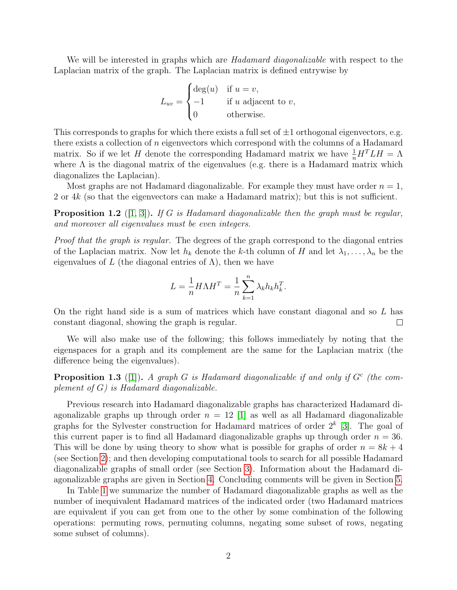We will be interested in graphs which are *Hadamard diagonalizable* with respect to the Laplacian matrix of the graph. The Laplacian matrix is defined entrywise by

$$
L_{uv} = \begin{cases} \deg(u) & \text{if } u = v, \\ -1 & \text{if } u \text{ adjacent to } v, \\ 0 & \text{otherwise.} \end{cases}
$$

This corresponds to graphs for which there exists a full set of  $\pm 1$  orthogonal eigenvectors, e.g. there exists a collection of  $n$  eigenvectors which correspond with the columns of a Hadamard matrix. So if we let H denote the corresponding Hadamard matrix we have  $\frac{1}{n}H^TLH = \Lambda$ where  $\Lambda$  is the diagonal matrix of the eigenvalues (e.g. there is a Hadamard matrix which diagonalizes the Laplacian).

Most graphs are not Hadamard diagonalizable. For example they must have order  $n = 1$ , 2 or 4k (so that the eigenvectors can make a Hadamard matrix); but this is not sufficient.

<span id="page-1-0"></span>**Proposition 1.2** ([\[1,](#page-12-0) [3\]](#page-13-0)). If G is Hadamard diagonalizable then the graph must be regular, and moreover all eigenvalues must be even integers.

Proof that the graph is regular. The degrees of the graph correspond to the diagonal entries of the Laplacian matrix. Now let  $h_k$  denote the k-th column of H and let  $\lambda_1, \ldots, \lambda_n$  be the eigenvalues of L (the diagonal entries of  $\Lambda$ ), then we have

$$
L = \frac{1}{n} H\Lambda H^T = \frac{1}{n} \sum_{k=1}^n \lambda_k h_k h_k^T.
$$

On the right hand side is a sum of matrices which have constant diagonal and so  $L$  has constant diagonal, showing the graph is regular.  $\Box$ 

We will also make use of the following; this follows immediately by noting that the eigenspaces for a graph and its complement are the same for the Laplacian matrix (the difference being the eigenvalues).

**Proposition 1.3** ([\[1\]](#page-12-0)). A graph G is Hadamard diagonalizable if and only if  $G<sup>c</sup>$  (the complement of  $G$ ) is Hadamard diagonalizable.

Previous research into Hadamard diagonalizable graphs has characterized Hadamard diagonalizable graphs up through order  $n = 12$  [\[1\]](#page-12-0) as well as all Hadamard diagonalizable graphs for the Sylvester construction for Hadamard matrices of order  $2<sup>k</sup>$  [\[3\]](#page-13-0). The goal of this current paper is to find all Hadamard diagonalizable graphs up through order  $n = 36$ . This will be done by using theory to show what is possible for graphs of order  $n = 8k + 4$ (see Section [2\)](#page-2-0); and then developing computational tools to search for all possible Hadamard diagonalizable graphs of small order (see Section [3\)](#page-4-0). Information about the Hadamard diagonalizable graphs are given in Section [4.](#page-8-0) Concluding comments will be given in Section [5.](#page-11-0)

In Table [1](#page-2-1) we summarize the number of Hadamard diagonalizable graphs as well as the number of inequivalent Hadamard matrices of the indicated order (two Hadamard matrices are equivalent if you can get from one to the other by some combination of the following operations: permuting rows, permuting columns, negating some subset of rows, negating some subset of columns).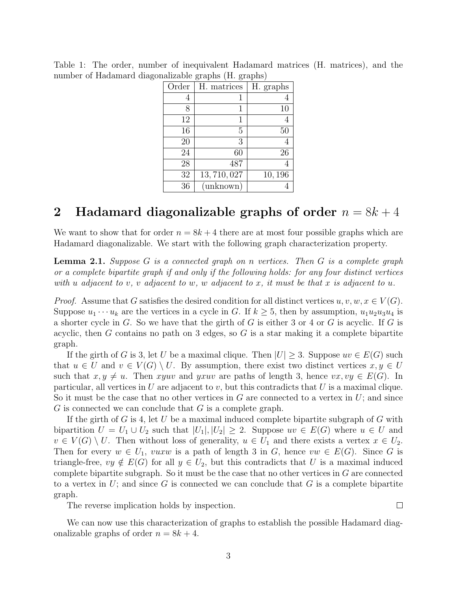|       |             | ᅩ         |
|-------|-------------|-----------|
| Order | H. matrices | H. graphs |
| 4     |             |           |
| 8     | 1           | 10        |
| 12    | 1           |           |
| 16    | 5           | 50        |
| 20    | 3           |           |
| 24    | 60          | 26        |
| 28    | 487         |           |
| 32    | 13,710,027  | 10, 196   |
| 36    | (unknown)   |           |

<span id="page-2-1"></span>Table 1: The order, number of inequivalent Hadamard matrices (H. matrices), and the number of Hadamard diagonalizable graphs (H. graphs)

# <span id="page-2-0"></span>2 Hadamard diagonalizable graphs of order  $n = 8k + 4$

We want to show that for order  $n = 8k + 4$  there are at most four possible graphs which are Hadamard diagonalizable. We start with the following graph characterization property.

<span id="page-2-2"></span>**Lemma 2.1.** Suppose  $G$  is a connected graph on n vertices. Then  $G$  is a complete graph or a complete bipartite graph if and only if the following holds: for any four distinct vertices with u adjacent to v, v adjacent to w, w adjacent to x, it must be that x is adjacent to u.

*Proof.* Assume that G satisfies the desired condition for all distinct vertices  $u, v, w, x \in V(G)$ . Suppose  $u_1 \cdots u_k$  are the vertices in a cycle in G. If  $k \geq 5$ , then by assumption,  $u_1 u_2 u_3 u_4$  is a shorter cycle in  $G$ . So we have that the girth of  $G$  is either 3 or 4 or  $G$  is acyclic. If  $G$  is acyclic, then G contains no path on 3 edges, so  $G$  is a star making it a complete bipartite graph.

If the girth of G is 3, let U be a maximal clique. Then  $|U| \geq 3$ . Suppose  $uv \in E(G)$  such that  $u \in U$  and  $v \in V(G) \setminus U$ . By assumption, there exist two distinct vertices  $x, y \in U$ such that  $x, y \neq u$ . Then xyuv and yxuv are paths of length 3, hence  $vx, vy \in E(G)$ . In particular, all vertices in U are adjacent to v, but this contradicts that U is a maximal clique. So it must be the case that no other vertices in  $G$  are connected to a vertex in  $U$ ; and since  $G$  is connected we can conclude that  $G$  is a complete graph.

If the girth of G is 4, let U be a maximal induced complete bipartite subgraph of G with bipartition  $U = U_1 \cup U_2$  such that  $|U_1|, |U_2| \geq 2$ . Suppose  $uv \in E(G)$  where  $u \in U$  and  $v \in V(G) \setminus U$ . Then without loss of generality,  $u \in U_1$  and there exists a vertex  $x \in U_2$ . Then for every  $w \in U_1$ , vuxw is a path of length 3 in G, hence  $vw \in E(G)$ . Since G is triangle-free,  $vy \notin E(G)$  for all  $y \in U_2$ , but this contradicts that U is a maximal induced complete bipartite subgraph. So it must be the case that no other vertices in  $G$  are connected to a vertex in  $U$ ; and since G is connected we can conclude that G is a complete bipartite graph.

The reverse implication holds by inspection.

We can now use this characterization of graphs to establish the possible Hadamard diagonalizable graphs of order  $n = 8k + 4$ .

 $\Box$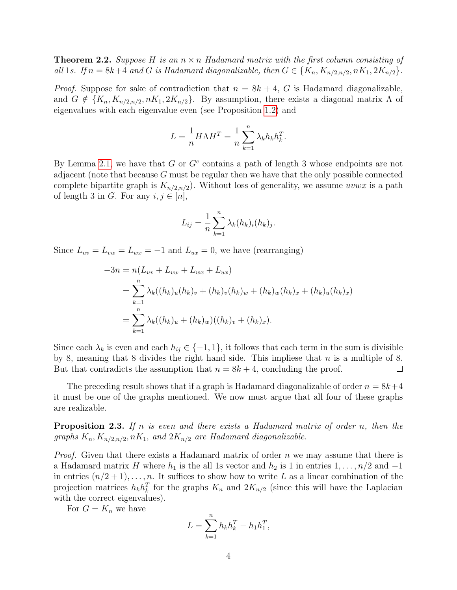**Theorem 2.2.** Suppose H is an  $n \times n$  Hadamard matrix with the first column consisting of all 1s. If  $n = 8k+4$  and G is Hadamard diagonalizable, then  $G \in \{K_n, K_{n/2,n/2}, nK_1, 2K_{n/2}\}.$ 

*Proof.* Suppose for sake of contradiction that  $n = 8k + 4$ , G is Hadamard diagonalizable, and  $G \notin \{K_n, K_{n/2,n/2}, nK_1, 2K_{n/2}\}.$  By assumption, there exists a diagonal matrix  $\Lambda$  of eigenvalues with each eigenvalue even (see Proposition [1.2\)](#page-1-0) and

$$
L = \frac{1}{n} H \Lambda H^T = \frac{1}{n} \sum_{k=1}^n \lambda_k h_k h_k^T.
$$

By Lemma [2.1,](#page-2-2) we have that  $G$  or  $G<sup>c</sup>$  contains a path of length 3 whose endpoints are not adjacent (note that because G must be regular then we have that the only possible connected complete bipartite graph is  $K_{n/2,n/2}$ . Without loss of generality, we assume *uvwx* is a path of length 3 in G. For any  $i, j \in [n]$ ,

$$
L_{ij} = \frac{1}{n} \sum_{k=1}^{n} \lambda_k (h_k)_i (h_k)_j.
$$

Since  $L_{uv} = L_{vw} = L_{wx} = -1$  and  $L_{ux} = 0$ , we have (rearranging)

$$
-3n = n(L_{uv} + L_{vw} + L_{wx} + L_{ux})
$$
  
= 
$$
\sum_{k=1}^{n} \lambda_k ((h_k)_u (h_k)_v + (h_k)_v (h_k)_w + (h_k)_w (h_k)_x + (h_k)_u (h_k)_x)
$$
  
= 
$$
\sum_{k=1}^{n} \lambda_k ((h_k)_u + (h_k)_w)((h_k)_v + (h_k)_x).
$$

Since each  $\lambda_k$  is even and each  $h_{ij} \in \{-1, 1\}$ , it follows that each term in the sum is divisible by 8, meaning that 8 divides the right hand side. This impliese that  $n$  is a multiple of 8. But that contradicts the assumption that  $n = 8k + 4$ , concluding the proof.  $\Box$ 

The preceding result shows that if a graph is Hadamard diagonalizable of order  $n = 8k+4$ it must be one of the graphs mentioned. We now must argue that all four of these graphs are realizable.

**Proposition 2.3.** If n is even and there exists a Hadamard matrix of order n, then the graphs  $K_n, K_{n/2,n/2}, nK_1,$  and  $2K_{n/2}$  are Hadamard diagonalizable.

*Proof.* Given that there exists a Hadamard matrix of order n we may assume that there is a Hadamard matrix H where  $h_1$  is the all 1s vector and  $h_2$  is 1 in entries  $1, \ldots, n/2$  and  $-1$ in entries  $(n/2+1), \ldots, n$ . It suffices to show how to write L as a linear combination of the projection matrices  $h_k h_k^T$  for the graphs  $K_n$  and  $2K_{n/2}$  (since this will have the Laplacian with the correct eigenvalues).

For  $G = K_n$  we have

$$
L = \sum_{k=1}^{n} h_k h_k^T - h_1 h_1^T,
$$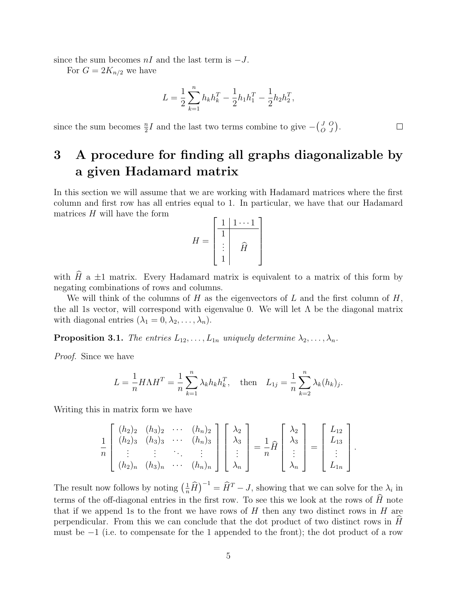since the sum becomes  $nI$  and the last term is  $-J$ .

For  $G = 2K_{n/2}$  we have

$$
L = \frac{1}{2} \sum_{k=1}^{n} h_k h_k^T - \frac{1}{2} h_1 h_1^T - \frac{1}{2} h_2 h_2^T,
$$

 $\Box$ 

since the sum becomes  $\frac{n}{2}I$  and the last two terms combine to give  $-\binom{J}{C}$ O O  $\binom{O}{J}$ .

# <span id="page-4-0"></span>3 A procedure for finding all graphs diagonalizable by a given Hadamard matrix

In this section we will assume that we are working with Hadamard matrices where the first column and first row has all entries equal to 1. In particular, we have that our Hadamard matrices  $H$  will have the form

$$
H = \begin{bmatrix} 1 & 1 & \cdots & 1 \\ \hline 1 & & & \\ \vdots & & \widehat{H} & \\ 1 & & & \end{bmatrix}
$$

with  $\widehat{H}$  a  $\pm 1$  matrix. Every Hadamard matrix is equivalent to a matrix of this form by negating combinations of rows and columns.

We will think of the columns of  $H$  as the eigenvectors of  $L$  and the first column of  $H$ , the all 1s vector, will correspond with eigenvalue 0. We will let  $\Lambda$  be the diagonal matrix with diagonal entries  $(\lambda_1 = 0, \lambda_2, \ldots, \lambda_n)$ .

<span id="page-4-1"></span>**Proposition 3.1.** The entries  $L_{12}, \ldots, L_{1n}$  uniquely determine  $\lambda_2, \ldots, \lambda_n$ .

Proof. Since we have

$$
L = \frac{1}{n} H \Lambda H^{T} = \frac{1}{n} \sum_{k=1}^{n} \lambda_{k} h_{k} h_{k}^{T}, \text{ then } L_{1j} = \frac{1}{n} \sum_{k=2}^{n} \lambda_{k} (h_{k})_{j}.
$$

Writing this in matrix form we have

$$
\frac{1}{n}\begin{bmatrix}\n(h_2)_2 & (h_3)_2 & \cdots & (h_n)_2 \\
(h_2)_3 & (h_3)_3 & \cdots & (h_n)_3 \\
\vdots & \vdots & \ddots & \vdots \\
(h_2)_n & (h_3)_n & \cdots & (h_n)_n\n\end{bmatrix}\begin{bmatrix}\n\lambda_2 \\
\lambda_3 \\
\vdots \\
\lambda_n\n\end{bmatrix} = \frac{1}{n}\widehat{H}\begin{bmatrix}\n\lambda_2 \\
\lambda_3 \\
\vdots \\
\lambda_n\n\end{bmatrix} = \begin{bmatrix}\nL_{12} \\
L_{13} \\
\vdots \\
L_{1n}\n\end{bmatrix}.
$$

The result now follows by noting  $\left(\frac{1}{n}\hat{H}\right)^{-1} = \hat{H}^T - J$ , showing that we can solve for the  $\lambda_i$  in terms of the off-diagonal entries in the first row. To see this we look at the rows of  $\hat{H}$  note that if we append 1s to the front we have rows of  $H$  then any two distinct rows in  $H$  are perpendicular. From this we can conclude that the dot product of two distinct rows in  $\hat{H}$ must be  $-1$  (i.e. to compensate for the 1 appended to the front); the dot product of a row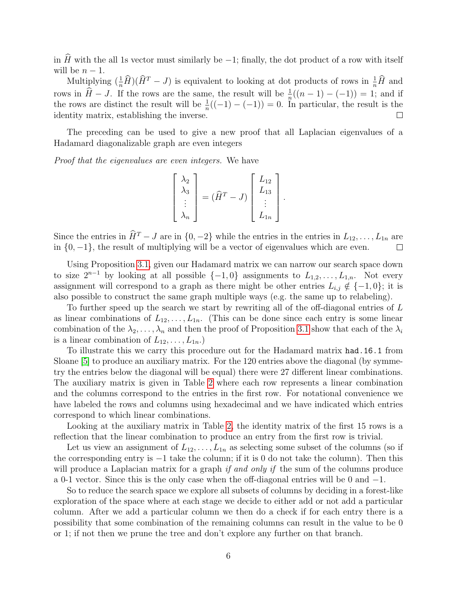in  $\hat{H}$  with the all 1s vector must similarly be  $-1$ ; finally, the dot product of a row with itself will be  $n-1$ .

Multiplying  $(\frac{1}{n}\hat{H})(\hat{H}^T - J)$  is equivalent to looking at dot products of rows in  $\frac{1}{n}\hat{H}$  and rows in  $\hat{H} - J$ . If the rows are the same, the result will be  $\frac{1}{n}((n-1) - (-1)) = 1$ ; and if the rows are distinct the result will be  $\frac{1}{n}((-1) - (-1)) = 0$ . In particular, the result is the identity matrix, establishing the inverse.  $\Box$ 

The preceding can be used to give a new proof that all Laplacian eigenvalues of a Hadamard diagonalizable graph are even integers

Proof that the eigenvalues are even integers. We have

$$
\begin{bmatrix}\n\lambda_2 \\
\lambda_3 \\
\vdots \\
\lambda_n\n\end{bmatrix} = (\widehat{H}^T - J) \begin{bmatrix}\nL_{12} \\
L_{13} \\
\vdots \\
L_{1n}\n\end{bmatrix}.
$$

Since the entries in  $\hat{H}^T - J$  are in  $\{0, -2\}$  while the entries in the entries in  $L_{12}, \ldots, L_{1n}$  are in  $\{0, -1\}$ , the result of multiplying will be a vector of eigenvalues which are even.

Using Proposition [3.1,](#page-4-1) given our Hadamard matrix we can narrow our search space down to size  $2^{n-1}$  by looking at all possible  $\{-1, 0\}$  assignments to  $L_{1,2}, \ldots, L_{1,n}$ . Not every assignment will correspond to a graph as there might be other entries  $L_{i,j} \notin \{-1,0\}$ ; it is also possible to construct the same graph multiple ways (e.g. the same up to relabeling).

To further speed up the search we start by rewriting all of the off-diagonal entries of L as linear combinations of  $L_{12}, \ldots, L_{1n}$ . (This can be done since each entry is some linear combination of the  $\lambda_2, \ldots, \lambda_n$  and then the proof of Proposition [3.1](#page-4-1) show that each of the  $\lambda_i$ is a linear combination of  $L_{12}, \ldots, L_{1n}$ .

To illustrate this we carry this procedure out for the Hadamard matrix had.16.1 from Sloane [\[5\]](#page-13-1) to produce an auxiliary matrix. For the 120 entries above the diagonal (by symmetry the entries below the diagonal will be equal) there were 27 different linear combinations. The auxiliary matrix is given in Table [2](#page-6-0) where each row represents a linear combination and the columns correspond to the entries in the first row. For notational convenience we have labeled the rows and columns using hexadecimal and we have indicated which entries correspond to which linear combinations.

Looking at the auxiliary matrix in Table [2,](#page-6-0) the identity matrix of the first 15 rows is a reflection that the linear combination to produce an entry from the first row is trivial.

Let us view an assignment of  $L_{12}, \ldots, L_{1n}$  as selecting some subset of the columns (so if the corresponding entry is −1 take the column; if it is 0 do not take the column). Then this will produce a Laplacian matrix for a graph *if and only if* the sum of the columns produce a 0-1 vector. Since this is the only case when the off-diagonal entries will be 0 and −1.

So to reduce the search space we explore all subsets of columns by deciding in a forest-like exploration of the space where at each stage we decide to either add or not add a particular column. After we add a particular column we then do a check if for each entry there is a possibility that some combination of the remaining columns can result in the value to be 0 or 1; if not then we prune the tree and don't explore any further on that branch.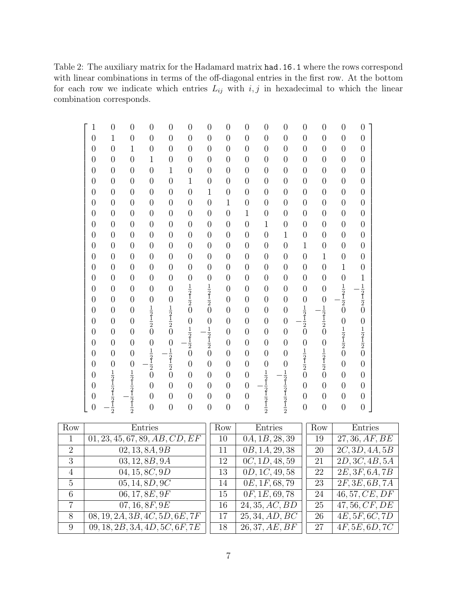<span id="page-6-0"></span>Table 2: The auxiliary matrix for the Hadamard matrix had.16.1 where the rows correspond with linear combinations in terms of the off-diagonal entries in the first row. At the bottom for each row we indicate which entries  $L_{ij}$  with  $i, j$  in hexadecimal to which the linear combination corresponds.

| $\mathbf{1}$   | $\overline{0}$                                                        | $\boldsymbol{0}$ | $\overline{0}$                                          | $\boldsymbol{0}$                                                    | $\overline{0}$                                          | $\boldsymbol{0}$                                                      | $\overline{0}$ | $\boldsymbol{0}$ | $\overline{0}$                                                        | $\boldsymbol{0}$                                                      | $\overline{0}$                                          | $\overline{0}$                                          | $\boldsymbol{0}$                                        | $\overline{0}$                                          |
|----------------|-----------------------------------------------------------------------|------------------|---------------------------------------------------------|---------------------------------------------------------------------|---------------------------------------------------------|-----------------------------------------------------------------------|----------------|------------------|-----------------------------------------------------------------------|-----------------------------------------------------------------------|---------------------------------------------------------|---------------------------------------------------------|---------------------------------------------------------|---------------------------------------------------------|
| $\overline{0}$ | $\mathbf{1}$                                                          | $\overline{0}$   | $\overline{0}$                                          | $\overline{0}$                                                      | $\overline{0}$                                          | $\overline{0}$                                                        | $\overline{0}$ | $\overline{0}$   | $\overline{0}$                                                        | $\overline{0}$                                                        | $\overline{0}$                                          | $\overline{0}$                                          | $\overline{0}$                                          | $\overline{0}$                                          |
| $\overline{0}$ | $\overline{0}$                                                        | $\mathbf{1}$     | $\overline{0}$                                          | $\overline{0}$                                                      | $\overline{0}$                                          | $\overline{0}$                                                        | $\overline{0}$ | $\overline{0}$   | $\overline{0}$                                                        | $\overline{0}$                                                        | $\overline{0}$                                          | $\boldsymbol{0}$                                        | $\overline{0}$                                          | $\overline{0}$                                          |
| $\overline{0}$ | $\overline{0}$                                                        | $\overline{0}$   | $\mathbf{1}$                                            | $\overline{0}$                                                      | $\overline{0}$                                          | $\overline{0}$                                                        | $\overline{0}$ | $\overline{0}$   | $\overline{0}$                                                        | $\overline{0}$                                                        | $\overline{0}$                                          | $\boldsymbol{0}$                                        | $\overline{0}$                                          | $\overline{0}$                                          |
| $\overline{0}$ | $\overline{0}$                                                        | $\overline{0}$   | $\overline{0}$                                          | $\mathbf{1}$                                                        | $\overline{0}$                                          | $\overline{0}$                                                        | $\overline{0}$ | $\overline{0}$   | $\overline{0}$                                                        | $\boldsymbol{0}$                                                      | $\overline{0}$                                          | $\overline{0}$                                          | $\overline{0}$                                          | $\overline{0}$                                          |
| $\overline{0}$ | $\overline{0}$                                                        | $\overline{0}$   | $\overline{0}$                                          | $\overline{0}$                                                      | $\mathbf{1}$                                            | $\overline{0}$                                                        | $\overline{0}$ | $\overline{0}$   | $\overline{0}$                                                        | $\overline{0}$                                                        | $\overline{0}$                                          | $\overline{0}$                                          | $\overline{0}$                                          | $\overline{0}$                                          |
| $\overline{0}$ | $\overline{0}$                                                        | $\overline{0}$   | $\overline{0}$                                          | $\overline{0}$                                                      | $\overline{0}$                                          | $\mathbf{1}$                                                          | $\overline{0}$ | $\overline{0}$   | $\overline{0}$                                                        | $\overline{0}$                                                        | $\overline{0}$                                          | $\overline{0}$                                          | $\overline{0}$                                          | $\overline{0}$                                          |
| $\overline{0}$ | $\overline{0}$                                                        | $\overline{0}$   | $\overline{0}$                                          | $\overline{0}$                                                      | $\overline{0}$                                          | $\overline{0}$                                                        | $\mathbf{1}$   | $\overline{0}$   | $\overline{0}$                                                        | $\overline{0}$                                                        | $\overline{0}$                                          | $\overline{0}$                                          | $\overline{0}$                                          | $\overline{0}$                                          |
| $\overline{0}$ | $\overline{0}$                                                        | $\overline{0}$   | $\overline{0}$                                          | $\boldsymbol{0}$                                                    | $\overline{0}$                                          | $\overline{0}$                                                        | $\overline{0}$ | $\mathbf{1}$     | $\overline{0}$                                                        | $\overline{0}$                                                        | $\overline{0}$                                          | $\overline{0}$                                          | $\overline{0}$                                          | $\overline{0}$                                          |
| $\overline{0}$ | $\overline{0}$                                                        | $\overline{0}$   | $\overline{0}$                                          | $\boldsymbol{0}$                                                    | $\overline{0}$                                          | $\overline{0}$                                                        | $\overline{0}$ | $\overline{0}$   | $\mathbf{1}$                                                          | $\overline{0}$                                                        | $\overline{0}$                                          | $\overline{0}$                                          | $\overline{0}$                                          | $\overline{0}$                                          |
| $\overline{0}$ | $\overline{0}$                                                        | $\overline{0}$   | $\overline{0}$                                          | $\boldsymbol{0}$                                                    | $\overline{0}$                                          | $\overline{0}$                                                        | $\overline{0}$ | $\overline{0}$   | $\overline{0}$                                                        | $\mathbf{1}$                                                          | $\overline{0}$                                          | $\overline{0}$                                          | $\overline{0}$                                          | $\overline{0}$                                          |
| $\overline{0}$ | $\overline{0}$                                                        | $\overline{0}$   | $\overline{0}$                                          | $\overline{0}$                                                      | $\overline{0}$                                          | $\overline{0}$                                                        | $\overline{0}$ | $\overline{0}$   | $\overline{0}$                                                        | $\overline{0}$                                                        | $\mathbf{1}$                                            | $\overline{0}$                                          | $\overline{0}$                                          | $\overline{0}$                                          |
| $\overline{0}$ | $\overline{0}$                                                        | $\overline{0}$   | $\overline{0}$                                          | $\overline{0}$                                                      | $\overline{0}$                                          | $\overline{0}$                                                        | $\overline{0}$ | $\overline{0}$   | $\overline{0}$                                                        | $\overline{0}$                                                        | $\overline{0}$                                          | $\mathbf 1$                                             | $\overline{0}$                                          | $\overline{0}$                                          |
| $\overline{0}$ | $\boldsymbol{0}$                                                      | $\boldsymbol{0}$ | $\boldsymbol{0}$                                        | $\boldsymbol{0}$                                                    | $\boldsymbol{0}$                                        | $\overline{0}$                                                        | $\overline{0}$ | $\boldsymbol{0}$ | $\overline{0}$                                                        | $\boldsymbol{0}$                                                      | $\overline{0}$                                          | $\boldsymbol{0}$                                        | $\mathbf 1$                                             | $\boldsymbol{0}$                                        |
| $\overline{0}$ | $\overline{0}$                                                        | $\overline{0}$   | $\overline{0}$                                          | $\overline{0}$                                                      | $\overline{0}$                                          |                                                                       | $\overline{0}$ | $\overline{0}$   | $\overline{0}$                                                        | $\overline{0}$                                                        | $\overline{0}$                                          | $\overline{0}$                                          | $\overline{0}$                                          |                                                         |
| $\overline{0}$ | $\overline{0}$                                                        | $\overline{0}$   | $\overline{0}$                                          | $\overline{0}$                                                      | $\frac{1}{2}$ $\frac{1}{2}$ $\frac{1}{2}$ $\frac{1}{0}$ | $\begin{array}{c}\n0 \\ \frac{1}{2} \\ \frac{1}{2} \\ 0\n\end{array}$ | $\overline{0}$ | $\overline{0}$   | $\overline{0}$                                                        | $\overline{0}$                                                        | $\overline{0}$                                          | $\overline{0}$                                          | $\frac{1}{2}$ $\frac{1}{2}$ $\frac{1}{2}$               | $\frac{1}{2}$ $\frac{1}{2}$ $\frac{1}{2}$ $\frac{1}{2}$ |
| $\overline{0}$ | $\overline{0}$                                                        | $\overline{0}$   | $\overline{0}$                                          |                                                                     |                                                         |                                                                       | $\overline{0}$ | $\overline{0}$   | $\overline{0}$                                                        | $\overline{0}$                                                        | $\boldsymbol{0}$                                        |                                                         |                                                         |                                                         |
| $\overline{0}$ | $\overline{0}$                                                        | $\overline{0}$   |                                                         |                                                                     |                                                         |                                                                       | $\overline{0}$ | $\overline{0}$   | $\overline{0}$                                                        | $\overline{0}$                                                        |                                                         |                                                         |                                                         |                                                         |
| $\overline{0}$ | $\overline{0}$                                                        | $\overline{0}$   | $\frac{1}{2}$ $\frac{1}{2}$ $\frac{1}{2}$ $\frac{1}{0}$ | $\begin{array}{c} 0 \\ \frac{1}{2} \\ \frac{1}{2} \\ 0 \end{array}$ |                                                         | $\overline{0}$                                                        | $\overline{0}$ | $\overline{0}$   | $\overline{0}$                                                        | $\overline{0}$                                                        | $\frac{1}{2}$ $\frac{1}{2}$ $\frac{1}{2}$ $\frac{1}{0}$ | $0 \\frac{1}{2} \\frac{1}{2} \\frac{1}{2} \\0$          | $\overline{0}$                                          |                                                         |
| $\overline{0}$ | $\overline{0}$                                                        | $\overline{0}$   |                                                         |                                                                     |                                                         |                                                                       | $\overline{0}$ | $\overline{0}$   | $\overline{0}$                                                        | $\overline{0}$                                                        |                                                         |                                                         |                                                         |                                                         |
| $\overline{0}$ | $\overline{0}$                                                        | $\boldsymbol{0}$ | $\overline{0}$                                          |                                                                     | $01⁄2⁄1⁄2$ $0$                                          | $\frac{1}{2}$ $\frac{1}{2}$ $\frac{1}{2}$ $0$                         | $\overline{0}$ | $\overline{0}$   | $\boldsymbol{0}$                                                      | $\overline{0}$                                                        | $\boldsymbol{0}$                                        | $\boldsymbol{0}$                                        | $\frac{1}{2}$ $\frac{1}{2}$ $\frac{1}{2}$ $\frac{1}{0}$ | $01/221/22$                                             |
| $\overline{0}$ | $\overline{0}$                                                        | $\boldsymbol{0}$ | $\frac{1}{2}$ $\frac{1}{2}$ $\frac{1}{2}$ $\frac{1}{0}$ | $0 \\frac{1}{2} \\frac{1}{2} \\frac{1}{2} \\0$                      |                                                         |                                                                       | $\overline{0}$ | $\overline{0}$   | $\overline{0}$                                                        | $\overline{0}$                                                        | $\frac{1}{2}$ $\frac{1}{2}$                             | $\frac{1}{2}$ $\frac{1}{2}$ $\frac{1}{2}$ $\frac{1}{0}$ |                                                         |                                                         |
| $\overline{0}$ | $\overline{0}$                                                        |                  |                                                         |                                                                     | $\overline{0}$                                          | $\overline{0}$                                                        | $\overline{0}$ | $\overline{0}$   | $\overline{0}$                                                        | $\overline{0}$                                                        |                                                         |                                                         | $\overline{0}$                                          | $\overline{0}$                                          |
| $\overline{0}$ |                                                                       |                  |                                                         |                                                                     | $\overline{0}$                                          | $\overline{0}$                                                        | $\overline{0}$ | $\overline{0}$   |                                                                       |                                                                       | $\bar{0}$                                               |                                                         | $\overline{0}$                                          | $\overline{0}$                                          |
| $\overline{0}$ |                                                                       |                  | $\overline{0}$                                          | $\overline{0}$                                                      | $\overline{0}$                                          | $\overline{0}$                                                        | $\overline{0}$ | $\overline{0}$   |                                                                       |                                                                       | $\overline{0}$                                          | $\boldsymbol{0}$                                        | $\overline{0}$                                          | $\overline{0}$                                          |
| $\overline{0}$ | $\frac{1}{2}$ $\frac{1}{2}$ $\frac{1}{2}$ $\frac{1}{2}$ $\frac{1}{2}$ | $01/21/221/22$   | $\overline{0}$                                          | $\overline{0}$                                                      | $\overline{0}$                                          | $\overline{0}$                                                        | $\overline{0}$ | $\overline{0}$   | $\frac{1}{2}$ $\frac{1}{2}$ $\frac{1}{2}$ $\frac{1}{2}$ $\frac{1}{2}$ | $\frac{1}{2}$ $\frac{1}{2}$ $\frac{1}{2}$ $\frac{1}{2}$ $\frac{1}{2}$ | $\overline{0}$                                          | $\overline{0}$                                          | $\boldsymbol{0}$                                        | $\overline{0}$                                          |
| $\overline{0}$ |                                                                       |                  | $\overline{0}$                                          | $\overline{0}$                                                      | $\overline{0}$                                          | $\overline{0}$                                                        | $\overline{0}$ | $\overline{0}$   |                                                                       |                                                                       | $\overline{0}$                                          | $\overline{0}$                                          | $\overline{0}$                                          | $\overline{0}$                                          |

| Row             | Entries                                     | Row | Entries        | Row | Entries                   |
|-----------------|---------------------------------------------|-----|----------------|-----|---------------------------|
|                 | 01, 23, 45, 67, 89, AB, CD, EF              | 10  | 0A, 1B, 28, 39 | 19  | 27, 36, AF, BE            |
| $\overline{2}$  | 02, 13, 8A, 9B                              | 11  | 0B, 1A, 29, 38 | 20  | $2C$ , $3D$ , $4A$ , $5B$ |
| 3               | 03, 12, 8B, 9A                              | 12  | 0C, 1D, 48, 59 | 21  | 2D, 3C, 4B, 5A            |
| $\overline{4}$  | 04, 15, 8C, 9D                              | 13  | 0D, 1C, 49, 58 | 22  | 2E, 3F, 6A, 7B            |
| $5\overline{)}$ | 05, 14, 8D, 9C                              | 14  | 0E, 1F, 68, 79 | 23  | 2F, 3E, 6B, 7A            |
| 6               | 06, 17, 8E, 9F                              | 15  | 0F, 1E, 69, 78 | 24  | 46,57,CE,DF               |
| $\overline{7}$  | 07, 16, 8F, 9E                              | 16  | 24, 35, AC, BD | 25  | 47, 56, CF, DE            |
| 8               | $08, 19, 2A, 3B, \overline{4C, 5D, 6E, 7F}$ | 17  | 25, 34, AD, BC | 26  | 4E, 5F, 6C, 7D            |
| 9               | 09, 18, 2B, 3A, 4D, 5C, 6F, 7E              | 18  | 26, 37, AE, BF | 27  | 4F, 5E, 6D, 7C            |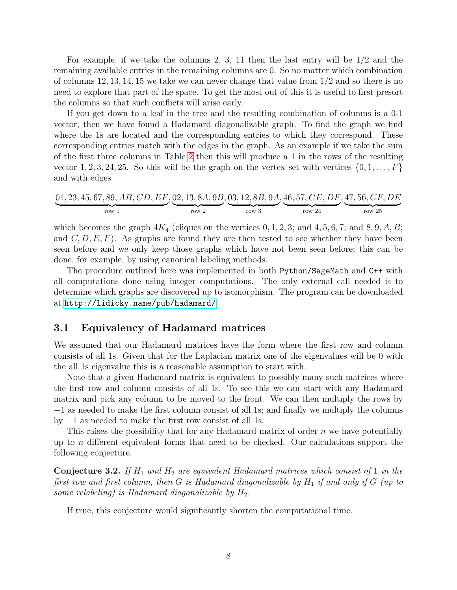For example, if we take the columns 2, 3, 11 then the last entry will be 1/2 and the remaining available entries in the remaining columns are 0. So no matter which combination of columns 12, 13, 14, 15 we take we can never change that value from  $1/2$  and so there is no need to explore that part of the space. To get the most out of this it is useful to first presort the columns so that such conflicts will arise early.

If you get down to a leaf in the tree and the resulting combination of columns is a 0-1 vector, then we have found a Hadamard diagonalizable graph. To find the graph we find where the 1s are located and the corresponding entries to which they correspond. These corresponding entries match with the edges in the graph. As an example if we take the sum of the first three columns in Table [2](#page-6-0) then this will produce a 1 in the rows of the resulting vector 1, 2, 3, 24, 25. So this will be the graph on the vertex set with vertices  $\{0, 1, \ldots, F\}$ and with edges

$$
\underbrace{01, 23, 45, 67, 89, AB, CD, EF}_{row 1}, \underbrace{02, 13, 8A, 9B}_{row 2}, \underbrace{03, 12, 8B, 9A}_{row 3}, \underbrace{46, 57, CE, DF}_{row 24}, \underbrace{47, 56, CF, DE}_{row 25}
$$

which becomes the graph  $4K_4$  (cliques on the vertices  $0, 1, 2, 3$ ; and  $4, 5, 6, 7$ ; and  $8, 9, A, B$ ; and  $C, D, E, F$ . As graphs are found they are then tested to see whether they have been seen before and we only keep those graphs which have not been seen before; this can be done, for example, by using canonical labeling methods.

The procedure outlined here was implemented in both Python/SageMath and C++ with all computations done using integer computations. The only external call needed is to determine which graphs are discovered up to isomorphism. The program can be downloaded at <http://lidicky.name/pub/hadamard/>.

#### 3.1 Equivalency of Hadamard matrices

We assumed that our Hadamard matrices have the form where the first row and column consists of all 1s. Given that for the Laplacian matrix one of the eigenvalues will be 0 with the all 1s eigenvalue this is a reasonable assumption to start with.

Note that a given Hadamard matrix is equivalent to possibly many such matrices where the first row and column consists of all 1s. To see this we can start with any Hadamard matrix and pick any column to be moved to the front. We can then multiply the rows by −1 as needed to make the first column consist of all 1s; and finally we multiply the columns by −1 as needed to make the first row consist of all 1s.

This raises the possibility that for any Hadamard matrix of order n we have potentially up to n different equivalent forms that need to be checked. Our calculations support the following conjecture.

<span id="page-7-0"></span>**Conjecture 3.2.** If  $H_1$  and  $H_2$  are equivalent Hadamard matrices which consist of 1 in the first row and first column, then G is Hadamard diagonalizable by  $H_1$  if and only if G (up to some relabeling) is Hadamard diagonalizable by  $H_2$ .

If true, this conjecture would significantly shorten the computational time.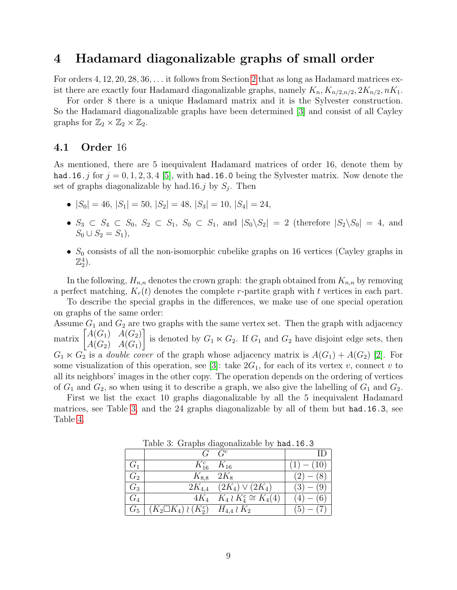## <span id="page-8-0"></span>4 Hadamard diagonalizable graphs of small order

For orders 4, 12, 20, 28, 36, . . . it follows from Section [2](#page-2-0) that as long as Hadamard matrices exist there are exactly four Hadamard diagonalizable graphs, namely  $K_n, K_{n/2,n/2}, 2K_{n/2}, nK_1$ .

For order 8 there is a unique Hadamard matrix and it is the Sylvester construction. So the Hadamard diagonalizable graphs have been determined [\[3\]](#page-13-0) and consist of all Cayley graphs for  $\mathbb{Z}_2 \times \mathbb{Z}_2 \times \mathbb{Z}_2$ .

#### 4.1 Order 16

As mentioned, there are 5 inequivalent Hadamard matrices of order 16, denote them by had.16.j for  $j = 0, 1, 2, 3, 4$  [\[5\]](#page-13-1), with had.16.0 being the Sylvester matrix. Now denote the set of graphs diagonalizable by had.16.*j* by  $S_j$ . Then

- $|S_0| = 46$ ,  $|S_1| = 50$ ,  $|S_2| = 48$ ,  $|S_3| = 10$ ,  $|S_4| = 24$ .
- $S_3 \subset S_4 \subset S_0$ ,  $S_2 \subset S_1$ ,  $S_0 \subset S_1$ , and  $|S_0 \backslash S_2| = 2$  (therefore  $|S_2 \backslash S_0| = 4$ , and  $S_0 \cup S_2 = S_1$ ,
- $S_0$  consists of all the non-isomorphic cubelike graphs on 16 vertices (Cayley graphs in  $\mathbb{Z}_2^4$ ).

In the following,  $H_{n,n}$  denotes the crown graph: the graph obtained from  $K_{n,n}$  by removing a perfect matching,  $K_r(t)$  denotes the complete r-partite graph with t vertices in each part.

To describe the special graphs in the differences, we make use of one special operation on graphs of the same order:

Assume  $G_1$  and  $G_2$  are two graphs with the same vertex set. Then the graph with adjacency matrix  $\begin{bmatrix} A(G_1) & A(G_2) \\ A(G_1) & A(G_2) \end{bmatrix}$  $A(G_2)$   $A(G_1)$ is denoted by  $G_1 \ltimes G_2$ . If  $G_1$  and  $G_2$  have disjoint edge sets, then  $G_1 \ltimes G_2$  is a *double cover* of the graph whose adjacency matrix is  $A(G_1) + A(G_2)$  [\[2\]](#page-12-1). For some visualization of this operation, see [\[3\]](#page-13-0): take  $2G_1$ , for each of its vertex v, connect v to all its neighbors' images in the other copy. The operation depends on the ordering of vertices of  $G_1$  and  $G_2$ , so when using it to describe a graph, we also give the labelling of  $G_1$  and  $G_2$ .

First we list the exact 10 graphs diagonalizable by all the 5 inequivalent Hadamard matrices, see Table [3,](#page-8-1) and the 24 graphs diagonalizable by all of them but had.16.3, see Table [4.](#page-9-0)

|                |                                                | $G \cdot G^c$                       |                |
|----------------|------------------------------------------------|-------------------------------------|----------------|
| G <sub>1</sub> | $K_{16}^c$ $K_{16}$                            |                                     | $- (10)$       |
| $G_2$          | $K_{8,8}$ 2 $K_8$                              |                                     | $(2) -$<br>(8) |
| $G_3$          |                                                | $2K_{4,4}$ $(2K_4) \vee (2K_4)$     | (3)<br>(9)     |
| $G_4$          |                                                | $4K_4$ $K_4 \wr K_4^c \cong K_4(4)$ |                |
| $G_5$          | $(K_2 \Box K_4) \wr (K_2^c)$ $H_{4,4} \wr K_2$ |                                     | (5)            |

<span id="page-8-1"></span>Table 3: Graphs diagonalizable by had.16.3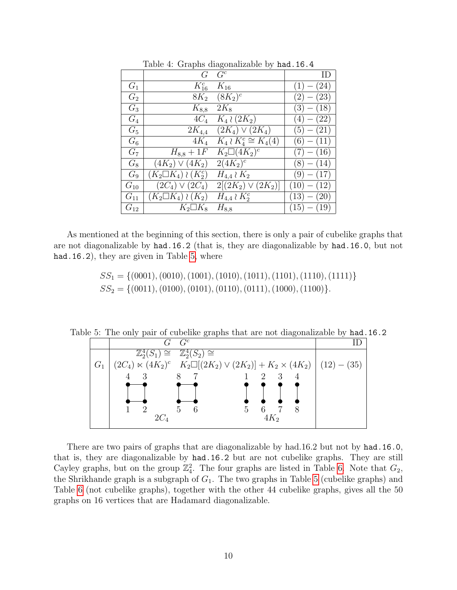|          |                               | ◡                            |                 |
|----------|-------------------------------|------------------------------|-----------------|
|          | G                             | $G^c$                        |                 |
| $G_1$    | $K_{16}^c$                    | $K_{16}$                     | (24)<br>(1)     |
| $G_2$    | $8K_2$                        | $(8K_2)^c$                   | (23)<br>$(2) -$ |
| $G_3$    | $K_{8,8}$                     | $2K_8$                       | $(3) - (18)$    |
| $G_4$    | $4C_4$                        | $K_4 \wr (2K_2)$             | $(4)-(22)$      |
| $G_5$    | $2K_{4,4}$                    | $(2K_4) \vee (2K_4)$         | $(5)-(21)$      |
| $G_{6}$  | $4K_4$                        | $K_4 \wr K_4^c \cong K_4(4)$ | $(6)-(11)$      |
| $G_7$    | $H_{8,8} + 1F$                | $K_2\square(4K_2)^c$         | (16)            |
| $G_8$    | $(4K_2) \vee (4K_2)$          | $\overline{2(4K_2)^c}$       | $(8) - (14)$    |
| $G_9$    | $(K_2 \Box K_4) \wr (K_2^c)$  | $H_{4,4} \wr K_2$            | (17)<br>$(9)$ — |
| $G_{10}$ | $(2C_4) \vee (2C_4)$          | $2[(2K_2) \vee (2K_2)]$      | (12)<br>(10)    |
| $G_{11}$ | $(K_2 \square K_4) \wr (K_2)$ | $H_{4,4} \wr K_2^c$          | (13)<br>(20)    |
| $G_{12}$ | $K_2 \square K_8$             | $H_{8,8}$                    | (15)<br>(19)    |
|          |                               |                              |                 |

<span id="page-9-0"></span>Table 4: Graphs diagonalizable by had.16.4

As mentioned at the beginning of this section, there is only a pair of cubelike graphs that are not diagonalizable by had.16.2 (that is, they are diagonalizable by had.16.0, but not had.16.2), they are given in Table [5,](#page-9-1) where

> $SS_1 = \{(0001), (0010), (1001), (1010), (1011), (1101), (1110), (1111)\}$  $SS_2 = \{(0011), (0100), (0101), (0110), (0111), (1000), (1100)\}.$

Table 5: The only pair of cubelike graphs that are not diagonalizable by had.16.2

<span id="page-9-1"></span>

There are two pairs of graphs that are diagonalizable by had.16.2 but not by had.16.0, that is, they are diagonalizable by had.16.2 but are not cubelike graphs. They are still Cayley graphs, but on the group  $\mathbb{Z}_4^2$ . The four graphs are listed in Table [6.](#page-10-0) Note that  $G_2$ , the Shrikhande graph is a subgraph of  $G_1$ . The two graphs in Table [5](#page-9-1) (cubelike graphs) and Table [6](#page-10-0) (not cubelike graphs), together with the other 44 cubelike graphs, gives all the 50 graphs on 16 vertices that are Hadamard diagonalizable.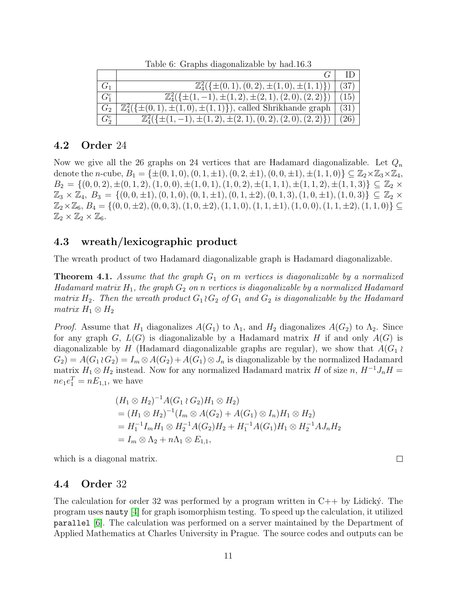|                | $\mathbb{Z}_{4}^{2}(\{\pm(0,1), (0,2), \pm(1,0), \pm(1,1)\})$                  | (37)      |
|----------------|--------------------------------------------------------------------------------|-----------|
| $G_1^c$        | $\mathbb{Z}_{4}^{2}(\{\pm(1,-1),\pm(1,2),\pm(2,1),(2,0),(2,2)\})$              | 15)       |
| G <sub>2</sub> | $\mathbb{Z}_{4}^{2}(\{\pm(0,1),\pm(1,0),\pm(1,1)\})$ , called Shrikhande graph | (31)      |
| $G_2^c$        | $\mathbb{Z}_{4}^{2}(\{\pm(1,-1),\pm(1,2),\pm(2,1),(0,2),(2,0),(2,2)\})$        | $^{(26)}$ |

<span id="page-10-0"></span>Table 6: Graphs diagonalizable by had.16.3

#### 4.2 Order 24

Now we give all the 26 graphs on 24 vertices that are Hadamard diagonalizable. Let  $Q_n$ denote the n-cube,  $B_1 = \{\pm (0, 1, 0), (0, 1, \pm 1), (0, 2, \pm 1), (0, 0, \pm 1), \pm (1, 1, 0)\} \subseteq \mathbb{Z}_2 \times \mathbb{Z}_3 \times \mathbb{Z}_4$ ,  $B_2 = \{(0, 0, 2), \pm(0, 1, 2), (1, 0, 0), \pm(1, 0, 1), (1, 0, 2), \pm(1, 1, 1), \pm(1, 1, 2), \pm(1, 1, 3)\}\subseteq \mathbb{Z}_2$  ×  $\mathbb{Z}_3 \times \mathbb{Z}_4$ ,  $B_3 = \{(0, 0, \pm 1), (0, 1, 0), (0, 1, \pm 1), (0, 1, \pm 2), (0, 1, 3), (1, 0, \pm 1), (1, 0, 3)\}\subseteq \mathbb{Z}_2 \times$  $\mathbb{Z}_{2}\times\mathbb{Z}_{6}$ ,  $B_{4} = \{(0,0,\pm 2), (0,0,3), (1,0,\pm 2), (1,1,0), (1,1,\pm 1), (1,0,0), (1,1,\pm 2), (1,1,0)\}\subseteq$  $\mathbb{Z}_2 \times \mathbb{Z}_2 \times \mathbb{Z}_6.$ 

### 4.3 wreath/lexicographic product

The wreath product of two Hadamard diagonalizable graph is Hadamard diagonalizable.

**Theorem 4.1.** Assume that the graph  $G_1$  on m vertices is diagonalizable by a normalized Hadamard matrix  $H_1$ , the graph  $G_2$  on n vertices is diagonalizable by a normalized Hadamard matrix  $H_2$ . Then the wreath product  $G_1 \wr G_2$  of  $G_1$  and  $G_2$  is diagonalizable by the Hadamard matrix  $H_1 \otimes H_2$ 

*Proof.* Assume that  $H_1$  diagonalizes  $A(G_1)$  to  $\Lambda_1$ , and  $H_2$  diagonalizes  $A(G_2)$  to  $\Lambda_2$ . Since for any graph G,  $L(G)$  is diagonalizable by a Hadamard matrix H if and only  $A(G)$  is diagonalizable by H (Hadamard diagonalizable graphs are regular), we show that  $A(G_1)$  $G_2$  =  $A(G_1 \wr G_2) = I_m \otimes A(G_2) + A(G_1) \otimes J_n$  is diagonalizable by the normalized Hadamard matrix  $H_1 \otimes H_2$  instead. Now for any normalized Hadamard matrix H of size n,  $H^{-1}J_nH =$  $ne_1e_1^T = nE_{1,1}$ , we have

$$
(H_1 \otimes H_2)^{-1} A(G_1 \wr G_2) H_1 \otimes H_2)
$$
  
=  $(H_1 \otimes H_2)^{-1} (I_m \otimes A(G_2) + A(G_1) \otimes I_n) H_1 \otimes H_2)$   
=  $H_1^{-1} I_m H_1 \otimes H_2^{-1} A(G_2) H_2 + H_1^{-1} A(G_1) H_1 \otimes H_2^{-1} A J_n H_2$   
=  $I_m \otimes \Lambda_2 + n \Lambda_1 \otimes E_{1,1}$ ,

which is a diagonal matrix.

#### 4.4 Order 32

The calculation for order 32 was performed by a program written in  $C_{++}$  by Lidicky. The program uses nauty [\[4\]](#page-13-2) for graph isomorphism testing. To speed up the calculation, it utilized parallel [\[6\]](#page-13-3). The calculation was performed on a server maintained by the Department of Applied Mathematics at Charles University in Prague. The source codes and outputs can be

 $\Box$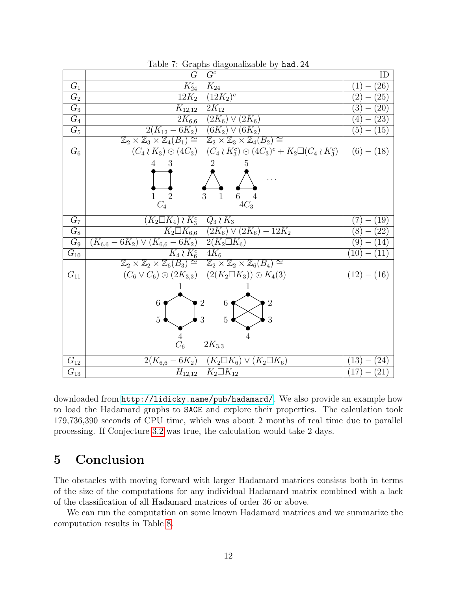|                  | $\sim$ and $\sim$                                                                                                                 |                                          |
|------------------|-----------------------------------------------------------------------------------------------------------------------------------|------------------------------------------|
|                  | $G^c$<br>G                                                                                                                        | ID                                       |
| $G_1$            | $K_{24}^c$<br>$K_{24}$                                                                                                            | $^{(26)}$<br>$\left(1\right)$            |
| $G_2$            | $(12K_2)^c$<br>$12K_2$                                                                                                            | (25)<br>$\overline{2}$                   |
| $\overline{G_3}$ | $2K_{12}$<br>$K_{12,12}$                                                                                                          | $\left(3\right)$<br>$^{'}20)$            |
| $G_4$            | $2K_{6,6}$ $(2K_6) \vee (2K_6)$                                                                                                   | (23)<br>$\left(4\right)$                 |
| $G_5$            | $2(K_{12}-6K_2)\sqrt{(6K_2)\vee(6K_2)}$                                                                                           | (5)<br>(15)                              |
|                  | $\mathbb{Z}_2 \times \mathbb{Z}_3 \times \mathbb{Z}_4(B_1) \cong \mathbb{Z}_2 \times \mathbb{Z}_3 \times \mathbb{Z}_4(B_2) \cong$ |                                          |
| $G_6$            | $(C_4 \wr K_3) \odot (4C_3) \quad (C_4 \wr K_3^c) \odot (4C_3)^c + K_2 \Box (C_4 \wr K_3^c)$                                      | $(6)-(18)$                               |
|                  | $4 \quad 3$<br>5.                                                                                                                 |                                          |
|                  |                                                                                                                                   |                                          |
|                  |                                                                                                                                   |                                          |
|                  | 3<br>6<br>1                                                                                                                       |                                          |
|                  | $4C_3$<br>$C_4$                                                                                                                   |                                          |
| G <sub>7</sub>   | $(K_2 \Box K_4) \wr K_3^c \quad Q_3 \wr K_3$                                                                                      | $\left(19\right)$<br>7                   |
| $G_8$            | $K_2 \Box K_{6,6}$ $(2K_6) \vee (2K_6) - 12K_2$                                                                                   | $\left( 22\right)$<br>(8)                |
| $G_9$            | $(K_{6,6} - 6K_2) \vee (K_{6,6} - 6K_2)$ 2(K <sub>2</sub> $\Box K_6$ )                                                            | $\left(9\right)$<br>(14)                 |
| $G_{10}$         | $K_4 \wr K_6^c$ 4 $K_6$                                                                                                           | (11)<br>(10)                             |
|                  | $\mathbb{Z}_2 \times \mathbb{Z}_2 \times \mathbb{Z}_6(B_3) \cong \mathbb{Z}_2 \times \mathbb{Z}_2 \times \mathbb{Z}_6(B_4) \cong$ |                                          |
| $G_{11}$         | $(C_6 \vee C_6) \odot (2K_{3,3}) \quad (2(K_2 \square K_3)) \odot K_4(3)$                                                         | $(12) - (16)$                            |
|                  |                                                                                                                                   |                                          |
|                  | $\overline{2}$                                                                                                                    |                                          |
|                  | $6 \bullet$<br>6                                                                                                                  |                                          |
|                  | $\overline{5}$<br>3<br>3<br>5 <sub>1</sub>                                                                                        |                                          |
|                  |                                                                                                                                   |                                          |
|                  | $C_6$<br>$2K_{3,3}$                                                                                                               |                                          |
|                  |                                                                                                                                   |                                          |
| $G_{12}$         | $2(K_{6,6} - 6K_2)$ $(K_2 \square K_6) \vee (K_2 \square K_6)$                                                                    | (24)<br>$\left(13\right)$                |
| $G_{13}$         | $K_2 \square K_{12}$<br>$H_{12,12}$                                                                                               | (21)<br>(17)<br>$\overline{\phantom{m}}$ |

Table 7: Graphs diagonalizable by had.24

downloaded from <http://lidicky.name/pub/hadamard/>. We also provide an example how to load the Hadamard graphs to SAGE and explore their properties. The calculation took 179,736,390 seconds of CPU time, which was about 2 months of real time due to parallel processing. If Conjecture [3.2](#page-7-0) was true, the calculation would take 2 days.

# <span id="page-11-0"></span>5 Conclusion

The obstacles with moving forward with larger Hadamard matrices consists both in terms of the size of the computations for any individual Hadamard matrix combined with a lack of the classification of all Hadamard matrices of order 36 or above.

We can run the computation on some known Hadamard matrices and we summarize the computation results in Table [8.](#page-12-2)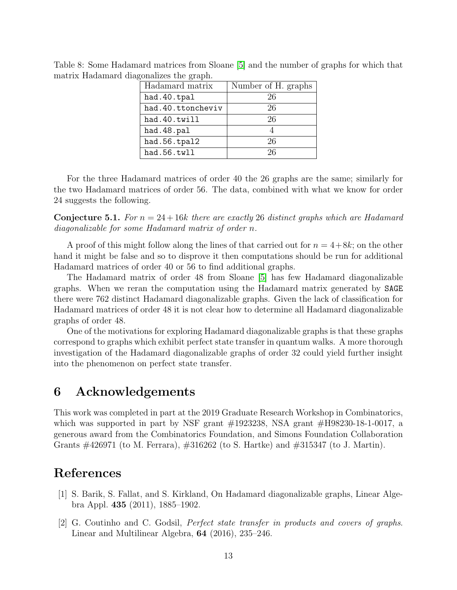|  | Hadamard matrix   | Number of H. graphs |
|--|-------------------|---------------------|
|  | had.40.tpal       | 26                  |
|  | had.40.ttoncheviv | 26                  |
|  | had.40.twill      | 26                  |
|  | had.48.pal        |                     |
|  | had.56.tpal2      | 26                  |
|  | had.56.twll       | 26                  |
|  |                   |                     |

<span id="page-12-2"></span>Table 8: Some Hadamard matrices from Sloane [\[5\]](#page-13-1) and the number of graphs for which that matrix Hadamard diagonalizes the graph.

For the three Hadamard matrices of order 40 the 26 graphs are the same; similarly for the two Hadamard matrices of order 56. The data, combined with what we know for order 24 suggests the following.

**Conjecture 5.1.** For  $n = 24 + 16k$  there are exactly 26 distinct graphs which are Hadamard diagonalizable for some Hadamard matrix of order n.

A proof of this might follow along the lines of that carried out for  $n = 4+8k$ ; on the other hand it might be false and so to disprove it then computations should be run for additional Hadamard matrices of order 40 or 56 to find additional graphs.

The Hadamard matrix of order 48 from Sloane [\[5\]](#page-13-1) has few Hadamard diagonalizable graphs. When we reran the computation using the Hadamard matrix generated by SAGE there were 762 distinct Hadamard diagonalizable graphs. Given the lack of classification for Hadamard matrices of order 48 it is not clear how to determine all Hadamard diagonalizable graphs of order 48.

One of the motivations for exploring Hadamard diagonalizable graphs is that these graphs correspond to graphs which exhibit perfect state transfer in quantum walks. A more thorough investigation of the Hadamard diagonalizable graphs of order 32 could yield further insight into the phenomenon on perfect state transfer.

## 6 Acknowledgements

This work was completed in part at the 2019 Graduate Research Workshop in Combinatorics, which was supported in part by NSF grant  $\#1923238$ , NSA grant  $\#H98230-18-1-0017$ , a generous award from the Combinatorics Foundation, and Simons Foundation Collaboration Grants #426971 (to M. Ferrara), #316262 (to S. Hartke) and #315347 (to J. Martin).

## References

- <span id="page-12-0"></span>[1] S. Barik, S. Fallat, and S. Kirkland, On Hadamard diagonalizable graphs, Linear Algebra Appl. 435 (2011), 1885–1902.
- <span id="page-12-1"></span>[2] G. Coutinho and C. Godsil, Perfect state transfer in products and covers of graphs. Linear and Multilinear Algebra, 64 (2016), 235–246.